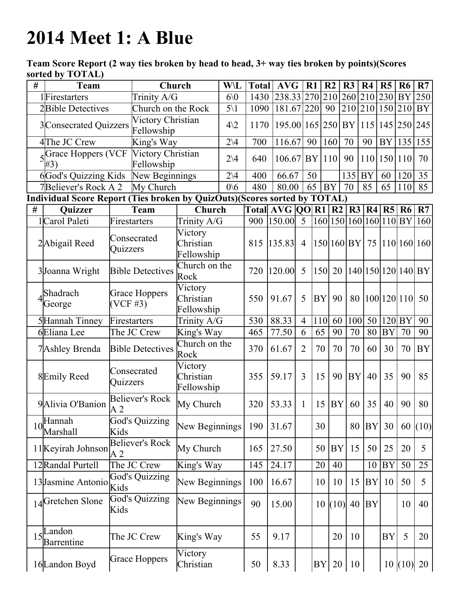## 2014 Meet 1: A Blue

Team Score Report (2 way ties broken by head to head, 3+ way ties broken by points)(Scores sorted by TOTAL)

|    | $301$ text by $10111$<br><b>Team</b>                                      |                                     | Church                          |                                    | W\L            | <b>Total</b>                                                 | <b>AVG</b>                         | R1             |                 | R <sub>2</sub> | R <sub>3</sub> | R <sub>4</sub>            | R <sub>5</sub> | <b>R6</b>    | R7        |
|----|---------------------------------------------------------------------------|-------------------------------------|---------------------------------|------------------------------------|----------------|--------------------------------------------------------------|------------------------------------|----------------|-----------------|----------------|----------------|---------------------------|----------------|--------------|-----------|
|    | 1Firestarters                                                             |                                     | Trinity A/G                     |                                    | 60             | 1430                                                         | [238.33]270[210]260[210]230[BY]250 |                |                 |                |                |                           |                |              |           |
|    | 2 <b>Bible Detectives</b>                                                 |                                     | Church on the Rock              |                                    | $5\backslash1$ | 1090                                                         | 181.67                             | 220            |                 | 90             |                | 210 210 150 210 BY        |                |              |           |
|    | 3 Consecrated Quizzers                                                    |                                     | Victory Christian<br>Fellowship |                                    | $4\sqrt{2}$    | 1170                                                         | 195.00 165 250 BY 115              |                |                 |                |                |                           |                | 145 250 245  |           |
|    | 4The JC Crew                                                              |                                     | King's Way                      |                                    | $2\vee 4$      | 700                                                          | 116.67                             |                | 90 <sub>1</sub> | 160            | 70             | 90                        |                | BY 135 155   |           |
|    | <b>Grace Hoppers (VCF</b><br>#3)                                          |                                     | Victory Christian<br>Fellowship |                                    | $2\vee 4$      | 640                                                          | $106.67$ BY 110                    |                |                 |                | 90             | 110 150 110               |                |              | 70        |
|    | <b>6God's Quizzing Kids</b>                                               |                                     | New Beginnings                  |                                    | $2\vee 4$      | 400                                                          | 66.67                              |                | 50              |                | 135            | <b>BY</b>                 | 60             | 120          | 35        |
|    | 7Believer's Rock A 2                                                      |                                     | My Church                       |                                    | 0/6            | 480                                                          | 80.00                              |                | 65              | BY             | 70             | 85                        | 65             | 110          | 85        |
|    | Individual Score Report (Ties broken by QuizOuts)(Scores sorted by TOTAL) |                                     |                                 |                                    |                |                                                              |                                    |                |                 |                |                |                           |                |              |           |
| #  | <b>Quizzer</b>                                                            |                                     | Team                            | Church                             |                | Total $\overline{\text{AVG} \text{QO} \text{R1} \text{R2} }$ |                                    |                |                 |                |                | R3 R4 R5 R6               |                |              | R7        |
|    | 1Carol Paleti                                                             |                                     | Firestarters                    | Trinity A/G                        |                | 900                                                          | 150.00                             | 5              |                 |                |                | [160 150 160 160 110 BY]  |                |              | 160       |
|    | 2Abigail Reed                                                             | Quizzers                            | Consecrated                     | Victory<br>Christian<br>Fellowship |                | 815                                                          | 135.83                             | $\overline{4}$ |                 |                |                | 150 160 BY 75 110 160 160 |                |              |           |
|    | 3Joanna Wright                                                            |                                     | <b>Bible Detectives</b>         | Church on the<br>Rock              |                | 720                                                          | 120.00                             | 5              | 150 20          |                |                | 140 150 120 140 BY        |                |              |           |
|    | Shadrach<br>George                                                        | <b>Grace Hoppers</b><br>$(VCF \#3)$ |                                 | Victory<br>Christian<br>Fellowship |                | 550                                                          | 91.67                              | 5              | <b>BY</b>       | 90             | 80             |                           |                | 100 120 110  | 50        |
|    | 5Hannah Tinney                                                            | Firestarters                        |                                 | Trinity A/G                        |                | 530                                                          | 88.33                              | $\overline{4}$ | <b>110</b>      | 60             | 100            | 50                        | 120            | <b>BY</b>    | 90        |
|    | 6Eliana Lee                                                               |                                     | The JC Crew                     | King's Way                         |                | 465                                                          | 77.50                              | 6              | 65              | 90             | 70             | 80                        | <b>BY</b>      | 70           | 90        |
|    | 7Ashley Brenda                                                            |                                     | <b>Bible Detectives</b>         | Church on the<br>Rock              |                | 370                                                          | 61.67                              | $\overline{2}$ | 70              | 70             | 70             | 60                        | 30             | 70           | <b>BY</b> |
|    | 8Emily Reed                                                               | Quizzers                            | Consecrated                     | Victory<br>Christian<br>Fellowship |                | 355                                                          | 59.17                              | $\overline{3}$ | 15              | 90             | <b>BY</b>      | 40                        | 35             | 90           | 85        |
|    | 9 Alivia O'Banion                                                         | A <sub>2</sub>                      | <b>Believer's Rock</b>          | My Church                          |                | 320                                                          | 53.33                              | 1              | 15              | <b>BY</b>      | 60             | 35                        | 40             | 90           | 80        |
| 10 | Hannah<br>Marshall                                                        | Kids                                | <b>God's Quizzing</b>           | New Beginnings                     |                | 190                                                          | 31.67                              |                | 30              |                | 80             | BY                        | 30             | 60           | (10)      |
|    | 11 Keyirah Johnson                                                        | A <sub>2</sub>                      | <b>Believer's Rock</b>          | My Church                          |                | 165                                                          | 27.50                              |                | 50              | <b>BY</b>      | 15             | 50                        | 25             | 20           | 5         |
|    | 12 Randal Purtell                                                         |                                     | The JC Crew                     | King's Way                         |                | 145                                                          | 24.17                              |                | 20              | 40             |                | 10                        | <b>BY</b>      | 50           | 25        |
|    | 13 Jasmine Antonio                                                        | Kids                                | <b>God's Quizzing</b>           | New Beginnings                     |                | 100                                                          | 16.67                              |                | 10              | 10             | 15             | <b>BY</b>                 | 10             | 50           | 5         |
|    | 14Gretchen Slone                                                          | Kids                                | <b>God's Quizzing</b>           | New Beginnings                     |                | 90                                                           | 15.00                              |                |                 |                | $10(10)$ 40    | BY                        |                | 10           | 40        |
|    | $15$ <sup>Landon</sup><br><b>Barrentine</b>                               |                                     | The JC Crew                     | King's Way                         |                | 55                                                           | 9.17                               |                |                 | 20             | 10             |                           | <b>BY</b>      | 5            | 20        |
|    | 16Landon Boyd                                                             |                                     | <b>Grace Hoppers</b>            | Victory<br>Christian               |                | 50                                                           | 8.33                               |                | $BY$ 20         |                | 10             |                           |                | 10  (10)  20 |           |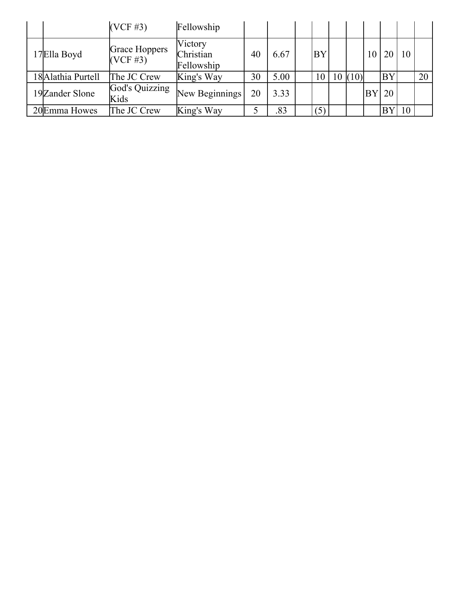|                    | $(VCF \#3)$                         | Fellowship                         |    |      |           |        |         |           |    |    |
|--------------------|-------------------------------------|------------------------------------|----|------|-----------|--------|---------|-----------|----|----|
| 17Ella Boyd        | <b>Grace Hoppers</b><br>$(VCF \#3)$ | Victory<br>Christian<br>Fellowship | 40 | 6.67 | <b>BY</b> |        | 10      |           | 10 |    |
| 18 Alathia Purtell | The JC Crew                         | King's Way                         | 30 | 5.00 | 10        | 10(10) |         | <b>BY</b> |    | 20 |
| 19Zander Slone     | God's Quizzing<br>Kids              | New Beginnings                     | 20 | 3.33 |           |        | $BY$ 20 |           |    |    |
| 20 Emma Howes      | The JC Crew                         | King's Way                         |    | .83  | (5)       |        |         | BY        | 10 |    |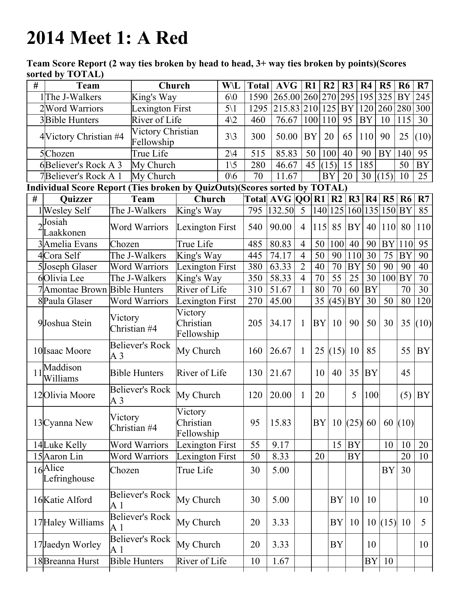## 2014 Meet 1: A Red

Team Score Report (2 way ties broken by head to head, 3+ way ties broken by points)(Scores sorted by TOTAL)

| #                                                                         | <b>Team</b>                                           |                         | Church                          |                                    | <b>W\L</b>        | <b>Total</b> | <b>AVG</b>            | R1             |                 | R <sub>2</sub>  | R <sub>3</sub>  | R <sub>4</sub>  | R <sub>5</sub> | R <sub>6</sub> | R7              |
|---------------------------------------------------------------------------|-------------------------------------------------------|-------------------------|---------------------------------|------------------------------------|-------------------|--------------|-----------------------|----------------|-----------------|-----------------|-----------------|-----------------|----------------|----------------|-----------------|
|                                                                           | 1The J-Walkers                                        |                         | King's Way                      |                                    | $6\,0$            | 1590         | 265.00 260 270        |                |                 |                 | 295             | 195 325         |                | <b>BY</b>      | 245             |
|                                                                           | 2Word Warriors                                        |                         | Lexington First                 |                                    | $\overline{5}$ \1 | 1295         | $215.83$  210 125     |                |                 |                 | <b>BY</b>       | 120             | 260            | 280            | 300             |
|                                                                           | 3Bible Hunters                                        |                         | River of Life                   |                                    | $4\sqrt{2}$       | 460          | 76.67                 |                | 100 110         |                 | 95              | <b>BY</b>       | 10             | 115            | 30              |
|                                                                           | 4 Victory Christian #4                                |                         | Victory Christian<br>Fellowship |                                    | $3\backslash 3$   | 300          | 50.00                 |                | <b>BY</b><br>20 |                 | 65              | 110             | 90             | 25             | (10)            |
|                                                                           | 5Chozen                                               |                         | True Life                       |                                    | $2\vee 4$         | 515          | 85.83                 |                | 50<br>100       |                 | 40              | 90              | <b>BY</b>      | 140            | 95              |
|                                                                           | 6Believer's Rock A 3                                  |                         | My Church                       |                                    | $1\backslash 5$   | 280          | 46.67                 |                | (15)<br>45      |                 | 15              | 185             |                | 50             | <b>BY</b>       |
|                                                                           | 7Believer's Rock A 1                                  |                         | My Church                       |                                    | 0/6               | 70           | 11.67                 |                |                 | <b>BY</b>       | 20              | 30              | (15)           | 10             | $\overline{25}$ |
| Individual Score Report (Ties broken by QuizOuts)(Scores sorted by TOTAL) |                                                       |                         |                                 |                                    |                   |              |                       |                |                 |                 |                 |                 |                |                |                 |
| #                                                                         | <b>Quizzer</b>                                        |                         | Team                            | Church                             |                   |              | Total AVG QO R1 R2 R3 |                |                 |                 |                 | $\overline{R4}$ | R5             | <b>R6</b>      | R7              |
|                                                                           | 1 Wesley Self                                         |                         | The J-Walkers                   | King's Way                         |                   |              | 795 132.50            | 5              |                 | 140 125         |                 |                 | 160 135 150 BY |                | 85              |
|                                                                           | $2\sqrt{\frac{\text{Josiah}}{\text{}} }$<br>Laakkonen |                         | <b>Word Warriors</b>            | Lexington First                    |                   | 540          | 90.00                 | $\overline{4}$ | 115             | 85              | <b>BY</b>       | 40              | 110            | 80             | 110             |
|                                                                           | 3 Amelia Evans                                        | Chozen                  |                                 | True Life                          |                   | 485          | 80.83                 | $\overline{4}$ | 50              | 100             | 40              | 90              | BY             | 110            | $\overline{95}$ |
|                                                                           | 4Cora Self                                            |                         | The J-Walkers                   | King's Way                         |                   | 445          | 74.17                 | $\overline{4}$ | 50              | 90              | 110             | 30              | 75             | <b>BY</b>      | 90              |
|                                                                           | 5Joseph Glaser                                        |                         | <b>Word Warriors</b>            | Lexington First                    |                   | 380          | 63.33                 | $\overline{2}$ | 40              | 70              | <b>BY</b>       | 50              | 90             | 90             | 40              |
|                                                                           | 6Olivia Lee                                           |                         | The J-Walkers                   | King's Way                         |                   | 350          | 58.33                 | $\overline{4}$ | $\overline{70}$ | $\overline{55}$ | $\overline{25}$ | 30              | 100            | <b>BY</b>      | $\overline{70}$ |
|                                                                           | 7 Amontae Brown Bible Hunters                         |                         |                                 | River of Life                      |                   | 310          | 51.67                 | 1              | 80              | 70              | 60              | <b>BY</b>       |                | 70             | 30              |
|                                                                           | 8 Paula Glaser                                        | <b>Word Warriors</b>    |                                 | Lexington First                    |                   | 270          | 45.00                 |                | 35              | (45)            | <b>BY</b>       | 30              | 50             | 80             | 120             |
|                                                                           | 9Joshua Stein                                         | Victory<br>Christian #4 |                                 | Victory<br>Christian<br>Fellowship |                   | 205          | 34.17                 | 1              | BY              | 10              | 90              | 50              | 30             | 35             | (10)            |
|                                                                           | 10 Isaac Moore<br>A 3                                 |                         | <b>Believer's Rock</b>          | My Church                          |                   | 160          | 26.67                 | 1              |                 |                 | $25$ (15) 10    | 85              |                | 55             | <b>BY</b>       |
|                                                                           | Maddison<br>Williams                                  |                         | <b>Bible Hunters</b>            | River of Life                      |                   | 130          | 21.67                 |                | 10              | 40              | 35              | <b>BY</b>       |                | 45             |                 |
|                                                                           | 12 Olivia Moore<br>A <sub>3</sub>                     |                         | <b>Believer's Rock</b>          | My Church                          |                   | 120          | 20.00                 | 1              | 20              |                 | 5               | 100             |                | (5)            | BY              |
|                                                                           | 13 Cyanna New                                         | Victory<br>Christian #4 |                                 | Victory<br>Christian<br>Fellowship |                   | 95           | 15.83                 |                | BY              |                 |                 | 10  (25)   60   |                | 60 $(10)$      |                 |
|                                                                           | 14Luke Kelly                                          |                         | <b>Word Warriors</b>            | <b>Lexington First</b>             |                   | 55           | 9.17                  |                |                 | 15              | BY              |                 | 10             | 10             | 20              |
|                                                                           | 15 Aaron Lin                                          |                         | <b>Word Warriors</b>            | <b>Lexington First</b>             |                   | 50           | 8.33                  |                | 20              |                 | <b>BY</b>       |                 |                | 20             | 10              |
|                                                                           | $16$ Alice<br>Lefringhouse                            | Chozen                  |                                 | True Life                          |                   | 30           | 5.00                  |                |                 |                 |                 |                 | BY             | 30             |                 |
|                                                                           | 16 Katie Alford                                       | A 1                     | <b>Believer's Rock</b>          | My Church                          |                   | 30           | 5.00                  |                |                 | BY <sup> </sup> | 10              | 10              |                |                | 10              |
|                                                                           | 17 Haley Williams                                     | A 1                     | <b>Believer's Rock</b>          | My Church                          |                   | 20           | 3.33                  |                |                 | <b>BY</b>       | 10              |                 | 10(15)10       |                | 5               |
|                                                                           | 17Jaedyn Worley                                       | A 1                     | <b>Believer's Rock</b>          | My Church                          |                   | 20           | 3.33                  |                |                 | BY              |                 | 10              |                |                | 10              |
|                                                                           | 18 Breanna Hurst                                      |                         | <b>Bible Hunters</b>            | River of Life                      |                   | 10           | 1.67                  |                |                 |                 |                 | BY              | 10             |                |                 |
|                                                                           |                                                       |                         |                                 |                                    |                   |              |                       |                |                 |                 |                 |                 |                |                |                 |